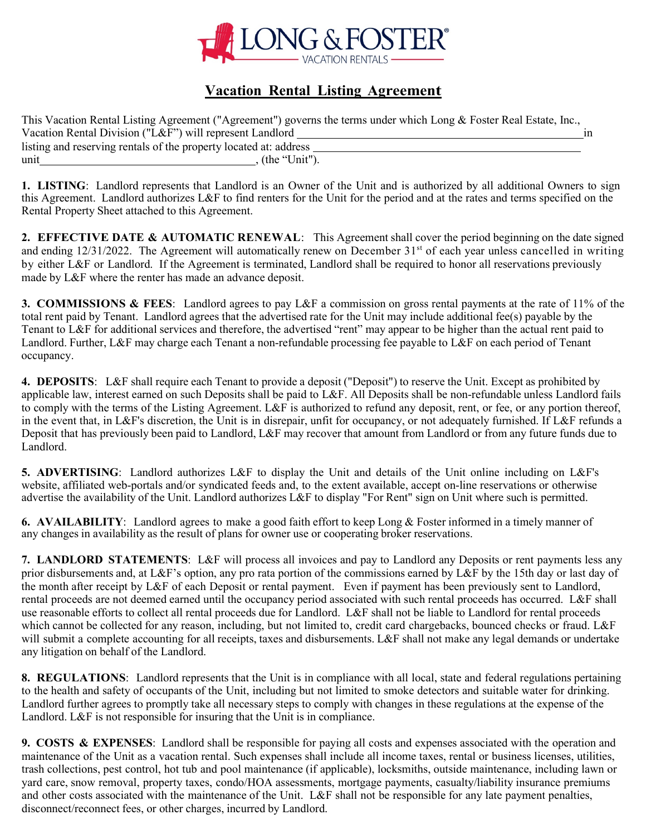

### **Vacation Rental Listing Agreement**

| This Vacation Rental Listing Agreement ("Agreement") governs the terms under which Long & Foster Real Estate, Inc., |  |
|---------------------------------------------------------------------------------------------------------------------|--|
| Vacation Rental Division ("L&F") will represent Landlord                                                            |  |
| listing and reserving rentals of the property located at: address                                                   |  |
| , (the "Unit").<br>unit                                                                                             |  |

**1. LISTING**: Landlord represents that Landlord is an Owner of the Unit and is authorized by all additional Owners to sign this Agreement. Landlord authorizes L&F to find renters for the Unit for the period and at the rates and terms specified on the Rental Property Sheet attached to this Agreement.

**2. EFFECTIVE DATE & AUTOMATIC RENEWAL**: This Agreement shall cover the period beginning on the date signed and ending  $12/31/2022$ . The Agreement will automatically renew on December  $31<sup>st</sup>$  of each year unless cancelled in writing by either L&F or Landlord. If the Agreement is terminated, Landlord shall be required to honor all reservations previously made by L&F where the renter has made an advance deposit.

**3. COMMISSIONS & FEES**: Landlord agrees to pay L&F a commission on gross rental payments at the rate of 11% of the total rent paid by Tenant. Landlord agrees that the advertised rate for the Unit may include additional fee(s) payable by the Tenant to L&F for additional services and therefore, the advertised "rent" may appear to be higher than the actual rent paid to Landlord. Further, L&F may charge each Tenant a non-refundable processing fee payable to L&F on each period of Tenant occupancy.

**4. DEPOSITS**: L&F shall require each Tenant to provide a deposit ("Deposit") to reserve the Unit. Except as prohibited by applicable law, interest earned on such Deposits shall be paid to L&F. All Deposits shall be non-refundable unless Landlord fails to comply with the terms of the Listing Agreement. L&F is authorized to refund any deposit, rent, or fee, or any portion thereof, in the event that, in L&F's discretion, the Unit is in disrepair, unfit for occupancy, or not adequately furnished. If L&F refunds a Deposit that has previously been paid to Landlord, L&F may recover that amount from Landlord or from any future funds due to Landlord.

**5. ADVERTISING**: Landlord authorizes L&F to display the Unit and details of the Unit online including on L&F's website, affiliated web-portals and/or syndicated feeds and, to the extent available, accept on-line reservations or otherwise advertise the availability of the Unit. Landlord authorizes L&F to display "For Rent" sign on Unit where such is permitted.

**6. AVAILABILITY**: Landlord agrees to make a good faith effort to keep Long & Foster informed in a timely manner of any changes in availability as the result of plans for owner use or cooperating broker reservations.

**7. LANDLORD STATEMENTS**: L&F will process all invoices and pay to Landlord any Deposits or rent payments less any prior disbursements and, at L&F's option, any pro rata portion of the commissions earned by L&F by the 15th day or last day of the month after receipt by L&F of each Deposit or rental payment. Even if payment has been previously sent to Landlord, rental proceeds are not deemed earned until the occupancy period associated with such rental proceeds has occurred. L&F shall use reasonable efforts to collect all rental proceeds due for Landlord. L&F shall not be liable to Landlord for rental proceeds which cannot be collected for any reason, including, but not limited to, credit card chargebacks, bounced checks or fraud. L&F will submit a complete accounting for all receipts, taxes and disbursements. L&F shall not make any legal demands or undertake any litigation on behalf of the Landlord.

**8. REGULATIONS**: Landlord represents that the Unit is in compliance with all local, state and federal regulations pertaining to the health and safety of occupants of the Unit, including but not limited to smoke detectors and suitable water for drinking. Landlord further agrees to promptly take all necessary steps to comply with changes in these regulations at the expense of the Landlord. L&F is not responsible for insuring that the Unit is in compliance.

**9. COSTS & EXPENSES**: Landlord shall be responsible for paying all costs and expenses associated with the operation and maintenance of the Unit as a vacation rental. Such expenses shall include all income taxes, rental or business licenses, utilities, trash collections, pest control, hot tub and pool maintenance (if applicable), locksmiths, outside maintenance, including lawn or yard care, snow removal, property taxes, condo/HOA assessments, mortgage payments, casualty/liability insurance premiums and other costs associated with the maintenance of the Unit. L&F shall not be responsible for any late payment penalties, disconnect/reconnect fees, or other charges, incurred by Landlord.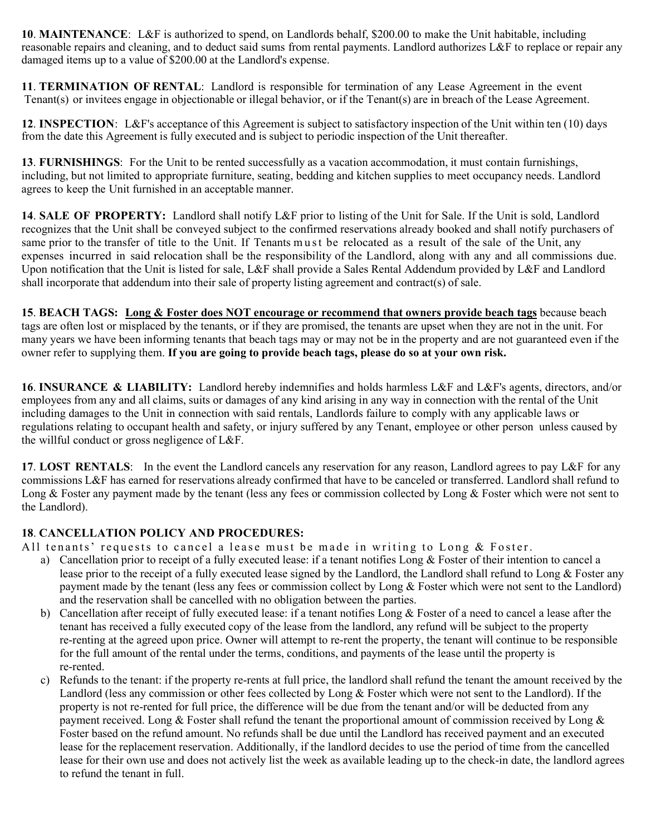**10**. **MAINTENANCE**: L&F is authorized to spend, on Landlords behalf, \$200.00 to make the Unit habitable, including reasonable repairs and cleaning, and to deduct said sums from rental payments. Landlord authorizes L&F to replace or repair any damaged items up to a value of \$200.00 at the Landlord's expense.

**11**. **TERMINATION OF RENTAL**: Landlord is responsible for termination of any Lease Agreement in the event Tenant(s) or invitees engage in objectionable or illegal behavior, or if the Tenant(s) are in breach of the Lease Agreement.

**12**. **INSPECTION**: L&F's acceptance of this Agreement is subject to satisfactory inspection of the Unit within ten (10) days from the date this Agreement is fully executed and is subject to periodic inspection of the Unit thereafter.

**13**. **FURNISHINGS**: For the Unit to be rented successfully as a vacation accommodation, it must contain furnishings, including, but not limited to appropriate furniture, seating, bedding and kitchen supplies to meet occupancy needs. Landlord agrees to keep the Unit furnished in an acceptable manner.

**14**. **SALE OF PROPERTY:** Landlord shall notify L&F prior to listing of the Unit for Sale. If the Unit is sold, Landlord recognizes that the Unit shall be conveyed subject to the confirmed reservations already booked and shall notify purchasers of same prior to the transfer of title to the Unit. If Tenants must be relocated as a result of the sale of the Unit, any expenses incurred in said relocation shall be the responsibility of the Landlord, along with any and all commissions due. Upon notification that the Unit is listed for sale, L&F shall provide a Sales Rental Addendum provided by L&F and Landlord shall incorporate that addendum into their sale of property listing agreement and contract(s) of sale.

**15**. **BEACH TAGS: Long & Foster does NOT encourage or recommend that owners provide beach tags** because beach tags are often lost or misplaced by the tenants, or if they are promised, the tenants are upset when they are not in the unit. For many years we have been informing tenants that beach tags may or may not be in the property and are not guaranteed even if the owner refer to supplying them. **If you are going to provide beach tags, please do so at your own risk.**

**16**. **INSURANCE & LIABILITY:** Landlord hereby indemnifies and holds harmless L&F and L&F's agents, directors, and/or employees from any and all claims, suits or damages of any kind arising in any way in connection with the rental of the Unit including damages to the Unit in connection with said rentals, Landlords failure to comply with any applicable laws or regulations relating to occupant health and safety, or injury suffered by any Tenant, employee or other person unless caused by the willful conduct or gross negligence of L&F.

**17**. **LOST RENTALS**: In the event the Landlord cancels any reservation for any reason, Landlord agrees to pay L&F for any commissions L&F has earned for reservations already confirmed that have to be canceled or transferred. Landlord shall refund to Long  $\&$  Foster any payment made by the tenant (less any fees or commission collected by Long  $\&$  Foster which were not sent to the Landlord).

### **18**. **CANCELLATION POLICY AND PROCEDURES:**

All tenants' requests to cancel a lease must be made in writing to Long & Foster.

- a) Cancellation prior to receipt of a fully executed lease: if a tenant notifies Long  $&$  Foster of their intention to cancel a lease prior to the receipt of a fully executed lease signed by the Landlord, the Landlord shall refund to Long & Foster any payment made by the tenant (less any fees or commission collect by Long & Foster which were not sent to the Landlord) and the reservation shall be cancelled with no obligation between the parties.
- b) Cancellation after receipt of fully executed lease: if a tenant notifies Long  $&$  Foster of a need to cancel a lease after the tenant has received a fully executed copy of the lease from the landlord, any refund will be subject to the property re-renting at the agreed upon price. Owner will attempt to re-rent the property, the tenant will continue to be responsible for the full amount of the rental under the terms, conditions, and payments of the lease until the property is re-rented.
- c) Refunds to the tenant: if the property re-rents at full price, the landlord shall refund the tenant the amount received by the Landlord (less any commission or other fees collected by Long & Foster which were not sent to the Landlord). If the property is not re-rented for full price, the difference will be due from the tenant and/or will be deducted from any payment received. Long  $&$  Foster shall refund the tenant the proportional amount of commission received by Long  $&$ Foster based on the refund amount. No refunds shall be due until the Landlord has received payment and an executed lease for the replacement reservation. Additionally, if the landlord decides to use the period of time from the cancelled lease for their own use and does not actively list the week as available leading up to the check-in date, the landlord agrees to refund the tenant in full.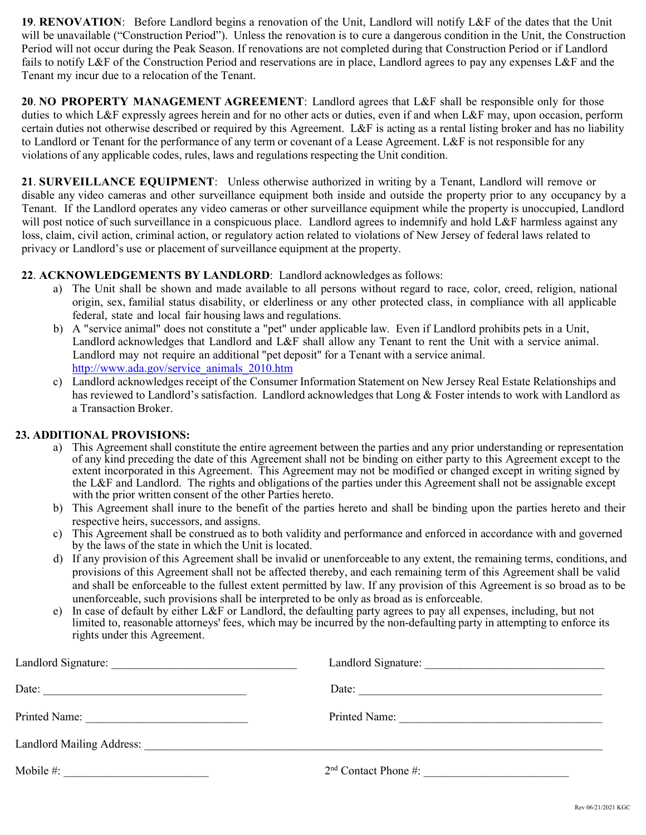**19**. **RENOVATION**: Before Landlord begins a renovation of the Unit, Landlord will notify L&F of the dates that the Unit will be unavailable ("Construction Period"). Unless the renovation is to cure a dangerous condition in the Unit, the Construction Period will not occur during the Peak Season. If renovations are not completed during that Construction Period or if Landlord fails to notify L&F of the Construction Period and reservations are in place, Landlord agrees to pay any expenses L&F and the Tenant my incur due to a relocation of the Tenant.

**20**. **NO PROPERTY MANAGEMENT AGREEMENT**: Landlord agrees that L&F shall be responsible only for those duties to which L&F expressly agrees herein and for no other acts or duties, even if and when L&F may, upon occasion, perform certain duties not otherwise described or required by this Agreement. L&F is acting as a rental listing broker and has no liability to Landlord or Tenant for the performance of any term or covenant of a Lease Agreement. L&F is not responsible for any violations of any applicable codes, rules, laws and regulations respecting the Unit condition.

**21**. **SURVEILLANCE EQUIPMENT**: Unless otherwise authorized in writing by a Tenant, Landlord will remove or disable any video cameras and other surveillance equipment both inside and outside the property prior to any occupancy by a Tenant. If the Landlord operates any video cameras or other surveillance equipment while the property is unoccupied, Landlord will post notice of such surveillance in a conspicuous place. Landlord agrees to indemnify and hold L&F harmless against any loss, claim, civil action, criminal action, or regulatory action related to violations of New Jersey of federal laws related to privacy or Landlord's use or placement of surveillance equipment at the property.

### **22**. **ACKNOWLEDGEMENTS BY LANDLORD**: Landlord acknowledges as follows:

- a) The Unit shall be shown and made available to all persons without regard to race, color, creed, religion, national origin, sex, familial status disability, or elderliness or any other protected class, in compliance with all applicable federal, state and local fair housing laws and regulations.
- b) A "service animal" does not constitute a "pet" under applicable law. Even if Landlord prohibits pets in a Unit, Landlord acknowledges that Landlord and L&F shall allow any Tenant to rent the Unit with a service animal. Landlord may not require an additional "pet deposit" for a Tenant with a service animal. [http://www.ada.gov/service\\_animals\\_2010.htm](http://www.ada.gov/service_animals_2010.htm)
- c) Landlord acknowledges receipt of the Consumer Information Statement on New Jersey Real Estate Relationships and has reviewed to Landlord's satisfaction. Landlord acknowledges that Long & Foster intends to work with Landlord as a Transaction Broker.

### **23. ADDITIONAL PROVISIONS:**

- a) This Agreement shall constitute the entire agreement between the parties and any prior understanding or representation of any kind preceding the date of this Agreement shall not be binding on either party to this Agreement except to the extent incorporated in this Agreement. This Agreement may not be modified or changed except in writing signed by the L&F and Landlord. The rights and obligations of the parties under this Agreement shall not be assignable except with the prior written consent of the other Parties hereto.
- b) This Agreement shall inure to the benefit of the parties hereto and shall be binding upon the parties hereto and their respective heirs, successors, and assigns.
- c) This Agreement shall be construed as to both validity and performance and enforced in accordance with and governed by the laws of the state in which the Unit is located.
- d) If any provision of this Agreement shall be invalid or unenforceable to any extent, the remaining terms, conditions, and provisions of this Agreement shall not be affected thereby, and each remaining term of this Agreement shall be valid and shall be enforceable to the fullest extent permitted by law. If any provision of this Agreement is so broad as to be unenforceable, such provisions shall be interpreted to be only as broad as is enforceable.
- e) In case of default by either L&F or Landlord, the defaulting party agrees to pay all expenses, including, but not limited to, reasonable attorneys' fees, which may be incurred by the non-defaulting party in attempting to enforce its rights under this Agreement.

| Date:                                               | Date:                  |
|-----------------------------------------------------|------------------------|
| Printed Name:                                       | Printed Name:          |
| Landlord Mailing Address: Landlord Mailing Address: |                        |
| Mobile #:                                           | $2nd$ Contact Phone #: |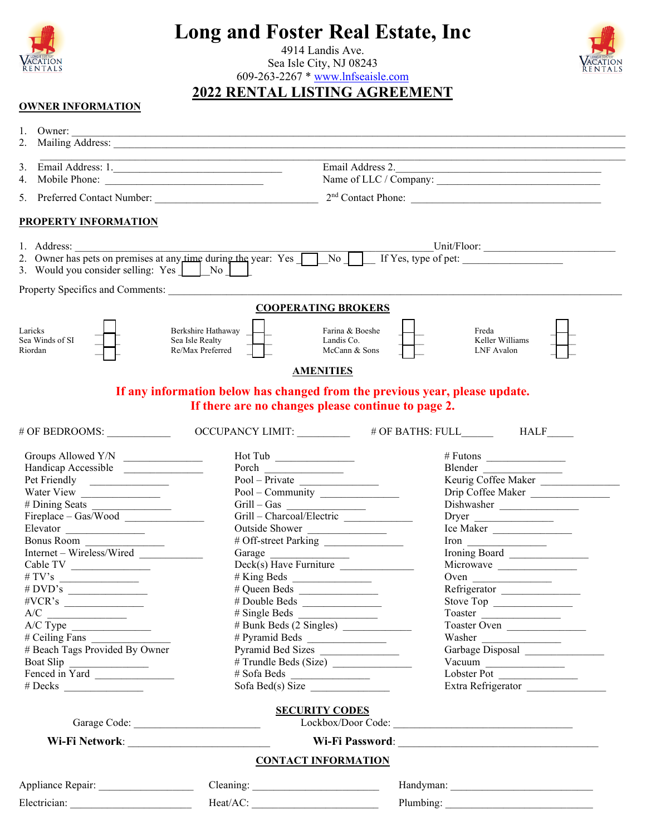

# **Long and Foster Real Estate, Inc**

4914 Landis Ave. Sea Isle City, NJ 08243



609-263-2267 \* [www.lnfseaisle.com](http://www.lnfseaisle.com/)

## **2022 RENTAL LISTING AGREEMENT**

### **OWNER INFORMATION**

| 1. Owner:                                        |                                                                                           |                                                 |                                                                                                   |
|--------------------------------------------------|-------------------------------------------------------------------------------------------|-------------------------------------------------|---------------------------------------------------------------------------------------------------|
| Email Address: 1.<br>3.                          | the control of the control of the control of the control of the control of the control of |                                                 | Email Address 2.                                                                                  |
| Mobile Phone:<br>4.                              |                                                                                           |                                                 |                                                                                                   |
|                                                  |                                                                                           |                                                 |                                                                                                   |
| <b>PROPERTY INFORMATION</b>                      |                                                                                           |                                                 |                                                                                                   |
|                                                  |                                                                                           |                                                 |                                                                                                   |
| 1. Address:                                      |                                                                                           |                                                 | 2. Owner has pets on premises at any time during the year: Yes No No No K If Yes, type of pet:    |
| 3. Would you consider selling: Yes   No          |                                                                                           |                                                 |                                                                                                   |
|                                                  |                                                                                           |                                                 |                                                                                                   |
|                                                  |                                                                                           | <b>COOPERATING BROKERS</b>                      |                                                                                                   |
| Laricks<br>Sea Winds of SI<br>Riordan            | Berkshire Hathaway<br>Sea Isle Realty<br>Re/Max Preferred                                 | Farina & Boeshe<br>Landis Co.<br>McCann & Sons  | Freda<br>Keller Williams<br>LNF Avalon                                                            |
|                                                  |                                                                                           | <b>AMENITIES</b>                                |                                                                                                   |
|                                                  | If any information below has changed from the previous year, please update.               |                                                 |                                                                                                   |
|                                                  | If there are no changes please continue to page 2.                                        |                                                 |                                                                                                   |
| # OF BEDROOMS:                                   |                                                                                           |                                                 | OCCUPANCY LIMIT: # OF BATHS: FULL HALF                                                            |
|                                                  | Hot Tub                                                                                   |                                                 | # Futons $\frac{1}{\sqrt{1-\frac{1}{2}}\sqrt{1-\frac{1}{2}}\left(\frac{1}{2}-\frac{1}{2}\right)}$ |
| Handicap Accessible                              | Porch                                                                                     |                                                 | Blender                                                                                           |
| Pet Friendly                                     |                                                                                           | $Pool - \overline{Private}$<br>Pool – Community | Keurig Coffee Maker                                                                               |
|                                                  |                                                                                           |                                                 | Drip Coffee Maker                                                                                 |
|                                                  | Grill – Gas                                                                               |                                                 | Dishwasher                                                                                        |
| Fireplace – Gas/Wood                             |                                                                                           | Grill – Charcoal/Electric                       |                                                                                                   |
| Elevator                                         | Outside Shower                                                                            |                                                 | Ice Maker                                                                                         |
| Bonus Room                                       |                                                                                           | # Off-street Parking                            | $Iron \tightharpoonup$                                                                            |
| Internet – Wireless/Wired                        | Garage                                                                                    |                                                 | Ironing Board                                                                                     |
|                                                  |                                                                                           | Deck(s) Have Furniture                          | Microwave                                                                                         |
|                                                  |                                                                                           |                                                 |                                                                                                   |
| # DVD's                                          | # Queen Beds                                                                              |                                                 | Refrigerator                                                                                      |
| $\#VCR$ 's                                       |                                                                                           |                                                 | Stove Top                                                                                         |
| A/C<br>$\overline{\phantom{a}}$                  |                                                                                           |                                                 | Toaster                                                                                           |
|                                                  |                                                                                           | # Bunk Beds (2 Singles)                         | Toaster Oven                                                                                      |
| $\frac{\text{A/C Type}}{\text{\# Ceiling Fans}}$ |                                                                                           |                                                 | Washer                                                                                            |
| # Beach Tags Provided By Owner                   |                                                                                           | Pyramid Bed Sizes                               | Garbage Disposal                                                                                  |
| Boat Slip                                        |                                                                                           | # Trundle Beds (Size)                           | Vacuum                                                                                            |
| Fenced in Yard                                   | $\# Sofa Beds$                                                                            |                                                 | Lobster Pot                                                                                       |
| $# \text{Decks}$                                 | Sofa Bed(s) Size                                                                          |                                                 | Extra Refrigerator                                                                                |
|                                                  | Garage Code:                                                                              | <b>SECURITY CODES</b>                           | Lockbox/Door Code:                                                                                |
|                                                  |                                                                                           |                                                 |                                                                                                   |
|                                                  |                                                                                           | <b>CONTACT INFORMATION</b>                      |                                                                                                   |
|                                                  |                                                                                           |                                                 |                                                                                                   |
|                                                  |                                                                                           |                                                 |                                                                                                   |
|                                                  | Heat/AC:                                                                                  |                                                 | Plumbing:                                                                                         |